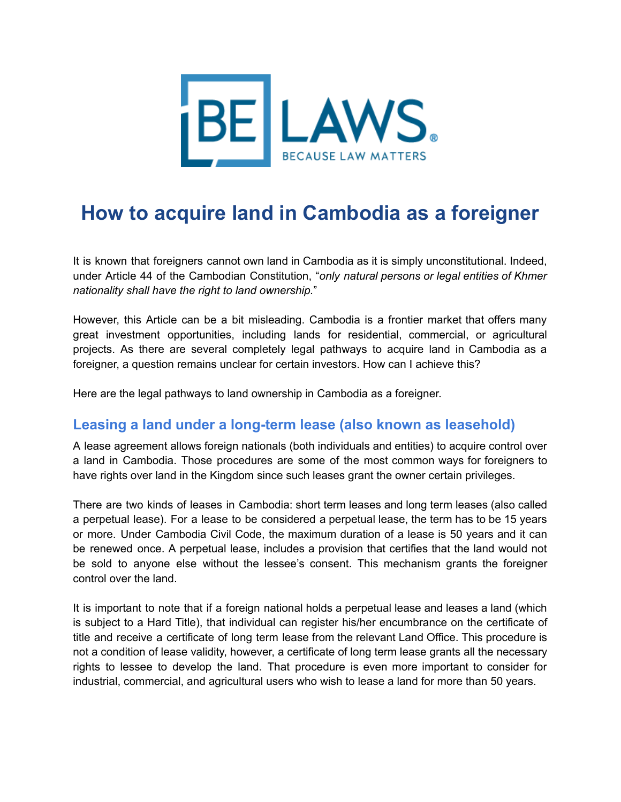

# **How to acquire land in Cambodia as a foreigner**

It is known that foreigners cannot own land in Cambodia as it is simply unconstitutional. Indeed, under Article 44 of the Cambodian Constitution, "*only natural persons or legal entities of Khmer nationality shall have the right to land ownership.*"

However, this Article can be a bit misleading. Cambodia is a frontier market that offers many great investment opportunities, including lands for residential, commercial, or agricultural projects. As there are several completely legal pathways to acquire land in Cambodia as a foreigner, a question remains unclear for certain investors. How can I achieve this?

Here are the legal pathways to land ownership in Cambodia as a foreigner.

#### **Leasing a land under a long-term lease (also known as leasehold)**

A lease agreement allows foreign nationals (both individuals and entities) to acquire control over a land in Cambodia. Those procedures are some of the most common ways for foreigners to have rights over land in the Kingdom since such leases grant the owner certain privileges.

There are two kinds of leases in Cambodia: short term leases and long term leases (also called a perpetual lease). For a lease to be considered a perpetual lease, the term has to be 15 years or more. Under Cambodia Civil Code, the maximum duration of a lease is 50 years and it can be renewed once. A perpetual lease, includes a provision that certifies that the land would not be sold to anyone else without the lessee's consent. This mechanism grants the foreigner control over the land.

It is important to note that if a foreign national holds a perpetual lease and leases a land (which is subject to a Hard Title), that individual can register his/her encumbrance on the certificate of title and receive a certificate of long term lease from the relevant Land Office. This procedure is not a condition of lease validity, however, a certificate of long term lease grants all the necessary rights to lessee to develop the land. That procedure is even more important to consider for industrial, commercial, and agricultural users who wish to lease a land for more than 50 years.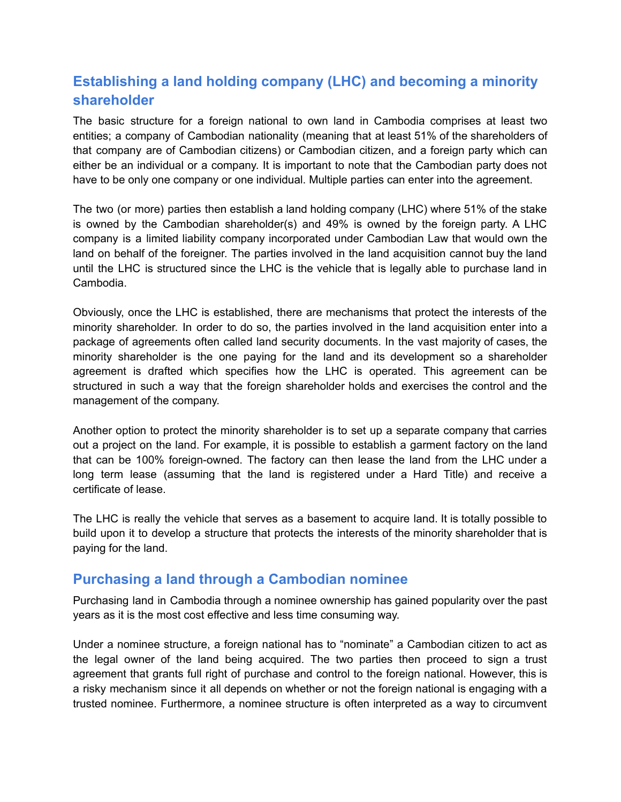## **Establishing a land holding company (LHC) and becoming a minority shareholder**

The basic structure for a foreign national to own land in Cambodia comprises at least two entities; a company of Cambodian nationality (meaning that at least 51% of the shareholders of that company are of Cambodian citizens) or Cambodian citizen, and a foreign party which can either be an individual or a company. It is important to note that the Cambodian party does not have to be only one company or one individual. Multiple parties can enter into the agreement.

The two (or more) parties then establish a land holding company (LHC) where 51% of the stake is owned by the Cambodian shareholder(s) and 49% is owned by the foreign party. A LHC company is a limited liability company incorporated under Cambodian Law that would own the land on behalf of the foreigner. The parties involved in the land acquisition cannot buy the land until the LHC is structured since the LHC is the vehicle that is legally able to purchase land in Cambodia.

Obviously, once the LHC is established, there are mechanisms that protect the interests of the minority shareholder. In order to do so, the parties involved in the land acquisition enter into a package of agreements often called land security documents. In the vast majority of cases, the minority shareholder is the one paying for the land and its development so a shareholder agreement is drafted which specifies how the LHC is operated. This agreement can be structured in such a way that the foreign shareholder holds and exercises the control and the management of the company.

Another option to protect the minority shareholder is to set up a separate company that carries out a project on the land. For example, it is possible to establish a garment factory on the land that can be 100% foreign-owned. The factory can then lease the land from the LHC under a long term lease (assuming that the land is registered under a Hard Title) and receive a certificate of lease.

The LHC is really the vehicle that serves as a basement to acquire land. It is totally possible to build upon it to develop a structure that protects the interests of the minority shareholder that is paying for the land.

#### **Purchasing a land through a Cambodian nominee**

Purchasing land in Cambodia through a nominee ownership has gained popularity over the past years as it is the most cost effective and less time consuming way.

Under a nominee structure, a foreign national has to "nominate" a Cambodian citizen to act as the legal owner of the land being acquired. The two parties then proceed to sign a trust agreement that grants full right of purchase and control to the foreign national. However, this is a risky mechanism since it all depends on whether or not the foreign national is engaging with a trusted nominee. Furthermore, a nominee structure is often interpreted as a way to circumvent